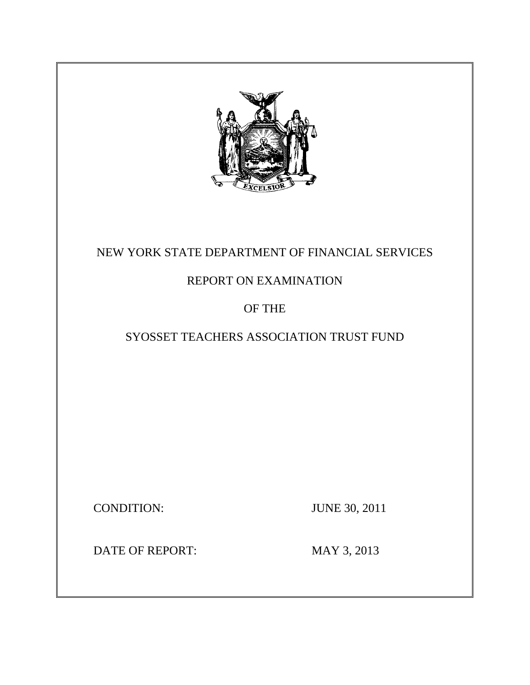

# NEW YORK STATE DEPARTMENT OF FINANCIAL SERVICES

# REPORT ON EXAMINATION

# OF THE

# SYOSSET TEACHERS ASSOCIATION TRUST FUND

CONDITION: JUNE 30, 2011

DATE OF REPORT: MAY 3, 2013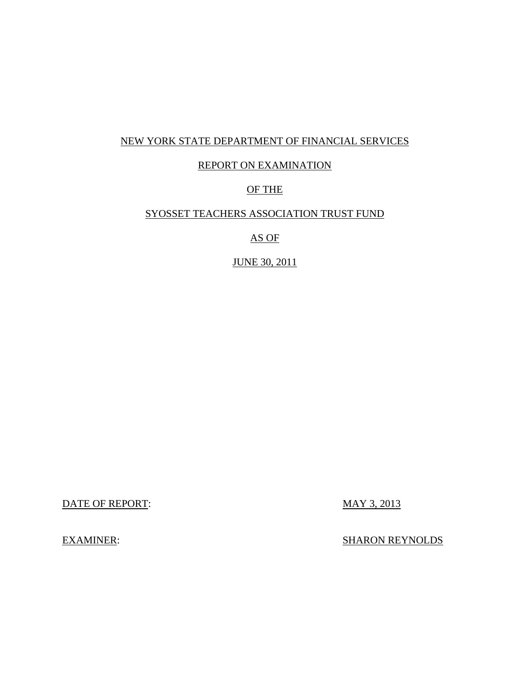# NEW YORK STATE DEPARTMENT OF FINANCIAL SERVICES

## REPORT ON EXAMINATION

# OF THE

## SYOSSET TEACHERS ASSOCIATION TRUST FUND

AS OF

JUNE 30, 2011

DATE OF REPORT: MAY 3, 2013

EXAMINER: SHARON REYNOLDS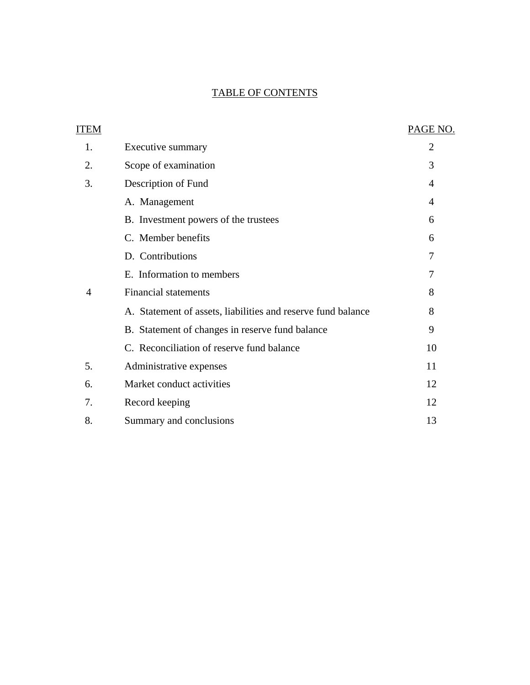# TABLE OF CONTENTS

| ITEM |                                                              | PAGE NO.       |
|------|--------------------------------------------------------------|----------------|
| 1.   | Executive summary                                            | $\overline{2}$ |
| 2.   | Scope of examination                                         | 3              |
| 3.   | Description of Fund                                          | $\overline{4}$ |
|      | A. Management                                                | $\overline{4}$ |
|      | B. Investment powers of the trustees                         | 6              |
|      | C. Member benefits                                           | 6              |
|      | D. Contributions                                             | 7              |
|      | E. Information to members                                    | 7              |
| 4    | <b>Financial statements</b>                                  | 8              |
|      | A. Statement of assets, liabilities and reserve fund balance | 8              |
|      | B. Statement of changes in reserve fund balance              | 9              |
|      | C. Reconciliation of reserve fund balance                    | 10             |
| 5.   | Administrative expenses                                      | 11             |
| 6.   | Market conduct activities                                    | 12             |
| 7.   | Record keeping                                               | 12             |
| 8.   | Summary and conclusions                                      | 13             |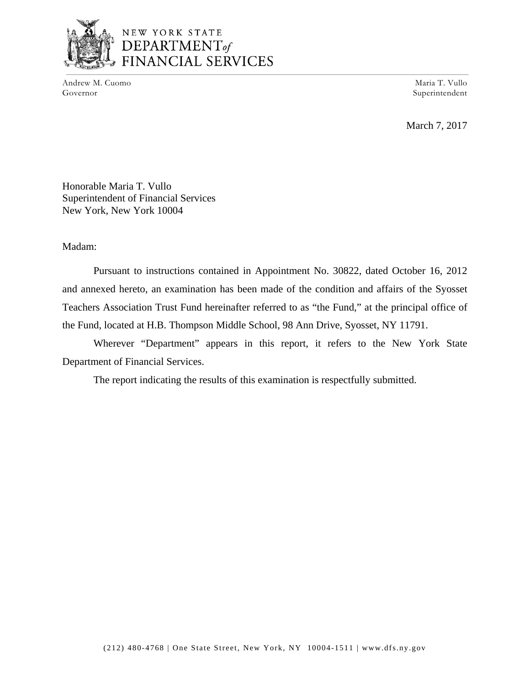

# NEW YORK STATE DEPARTMENT<sub>of</sub><br>FINANCIAL SERVICES

Andrew M. Cuomo Maria T. Vullo Governor Superintendent Superintendent Superintendent Superintendent Superintendent Superintendent Superintendent

March 7, 2017

Honorable Maria T. Vullo Superintendent of Financial Services New York, New York 10004

Madam:

Pursuant to instructions contained in Appointment No. 30822, dated October 16, 2012 and annexed hereto, an examination has been made of the condition and affairs of the Syosset Teachers Association Trust Fund hereinafter referred to as "the Fund," at the principal office of the Fund, located at H.B. Thompson Middle School, 98 Ann Drive, Syosset, NY 11791.

Wherever "Department" appears in this report, it refers to the New York State Department of Financial Services.

The report indicating the results of this examination is respectfully submitted.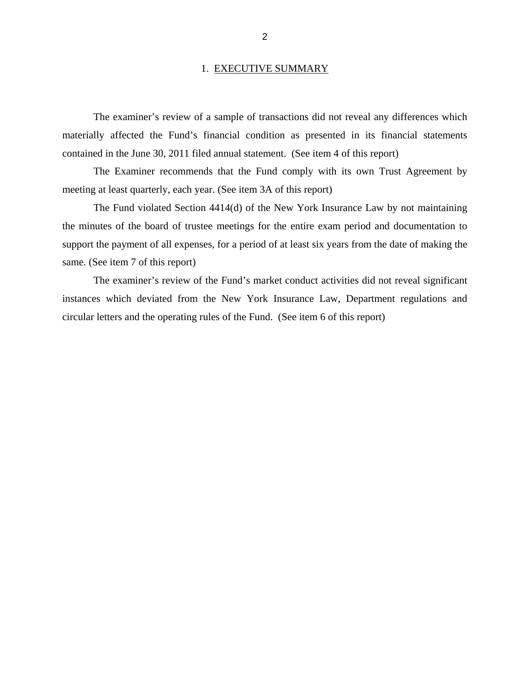#### 1. EXECUTIVE SUMMARY

<span id="page-4-0"></span>The examiner's review of a sample of transactions did not reveal any differences which materially affected the Fund's financial condition as presented in its financial statements contained in the June 30, 2011 filed annual statement. (See item 4 of this report)

The Examiner recommends that the Fund comply with its own Trust Agreement by meeting at least quarterly, each year. (See item 3A of this report)

The Fund violated Section 4414(d) of the New York Insurance Law by not maintaining the minutes of the board of trustee meetings for the entire exam period and documentation to support the payment of all expenses, for a period of at least six years from the date of making the same. (See item 7 of this report)

The examiner's review of the Fund's market conduct activities did not reveal significant instances which deviated from the New York Insurance Law, Department regulations and circular letters and the operating rules of the Fund. (See item 6 of this report)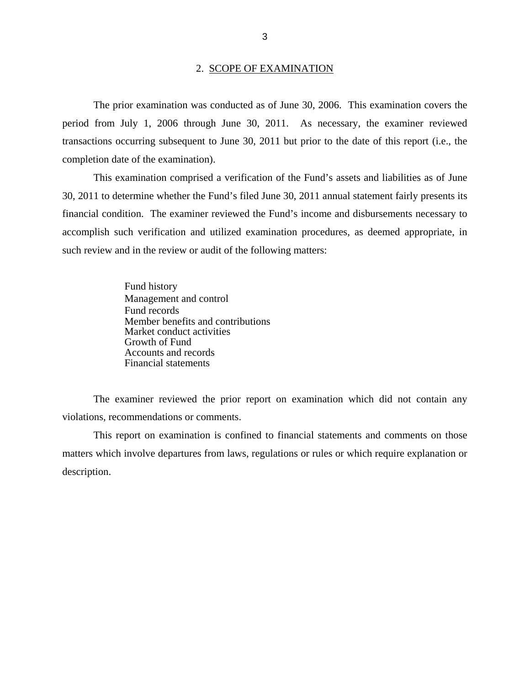<span id="page-5-0"></span>The prior examination was conducted as of June 30, 2006. This examination covers the period from July 1, 2006 through June 30, 2011. As necessary, the examiner reviewed transactions occurring subsequent to June 30, 2011 but prior to the date of this report (i.e., the completion date of the examination).

This examination comprised a verification of the Fund's assets and liabilities as of June 30, 2011 to determine whether the Fund's filed June 30, 2011 annual statement fairly presents its financial condition. The examiner reviewed the Fund's income and disbursements necessary to accomplish such verification and utilized examination procedures, as deemed appropriate, in such review and in the review or audit of the following matters:

> Fund history Management and control Fund records Member benefits and contributions Market conduct activities Growth of Fund Accounts and records Financial statements

The examiner reviewed the prior report on examination which did not contain any violations, recommendations or comments.

This report on examination is confined to financial statements and comments on those matters which involve departures from laws, regulations or rules or which require explanation or description.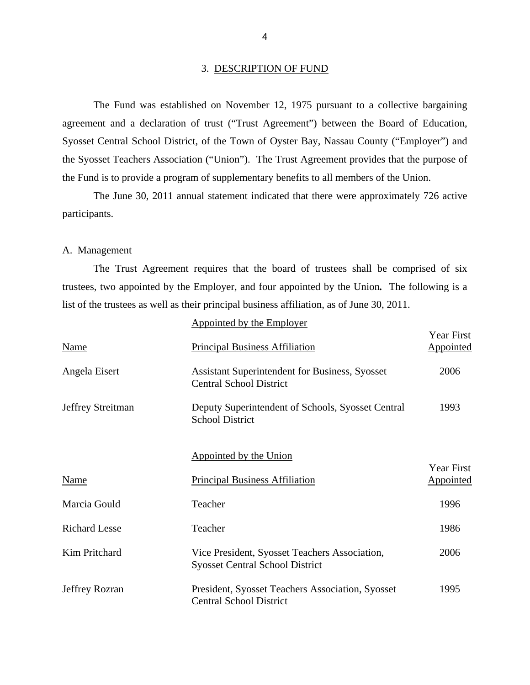#### 3. DESCRIPTION OF FUND

the Syosset Teachers Association ("Union"). The Trust Agreement provides that the purpose of The Fund was established on November 12, 1975 pursuant to a collective bargaining agreement and a declaration of trust ("Trust Agreement") between the Board of Education, Syosset Central School District, of the Town of Oyster Bay, Nassau County ("Employer") and the Fund is to provide a program of supplementary benefits to all members of the Union.

The June 30, 2011 annual statement indicated that there were approximately 726 active participants.

#### A. Management

The Trust Agreement requires that the board of trustees shall be comprised of six trustees, two appointed by the Employer, and four appointed by the Union*.* The following is a list of the trustees as well as their principal business affiliation, as of June 30, 2011.

|                      | Appointed by the Employer                                                               |                                |
|----------------------|-----------------------------------------------------------------------------------------|--------------------------------|
| <b>Name</b>          | <b>Principal Business Affiliation</b>                                                   | Year First<br><b>Appointed</b> |
| Angela Eisert        | <b>Assistant Superintendent for Business, Syosset</b><br><b>Central School District</b> | 2006                           |
| Jeffrey Streitman    | Deputy Superintendent of Schools, Syosset Central<br><b>School District</b>             | 1993                           |
|                      | Appointed by the Union                                                                  | <b>Year First</b>              |
| <b>Name</b>          | <b>Principal Business Affiliation</b>                                                   | <b>Appointed</b>               |
| Marcia Gould         | Teacher                                                                                 | 1996                           |
| <b>Richard Lesse</b> | Teacher                                                                                 | 1986                           |
| Kim Pritchard        | Vice President, Syosset Teachers Association,<br><b>Syosset Central School District</b> | 2006                           |
| Jeffrey Rozran       | President, Syosset Teachers Association, Syosset<br><b>Central School District</b>      | 1995                           |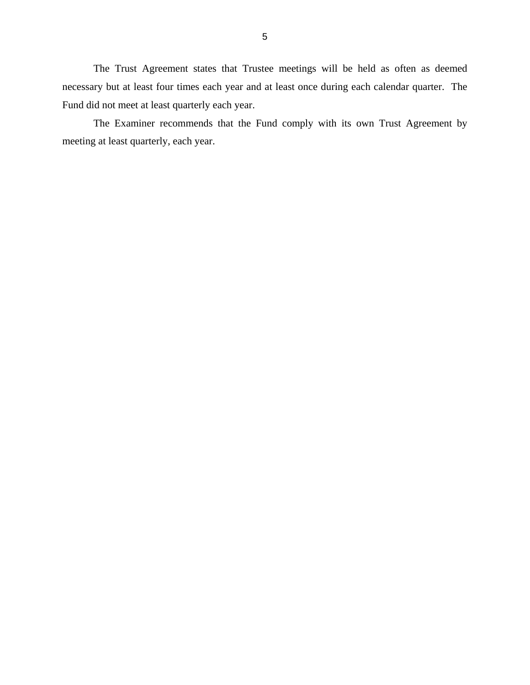The Trust Agreement states that Trustee meetings will be held as often as deemed necessary but at least four times each year and at least once during each calendar quarter. The Fund did not meet at least quarterly each year.

The Examiner recommends that the Fund comply with its own Trust Agreement by meeting at least quarterly, each year.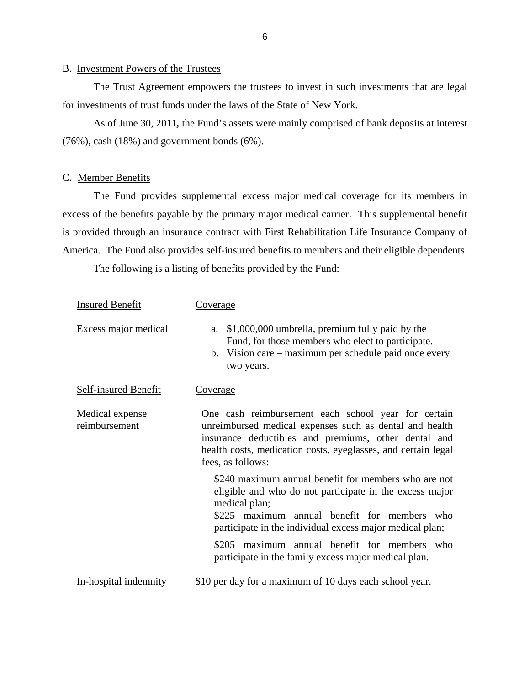#### B. Investment Powers of the Trustees

The Trust Agreement empowers the trustees to invest in such investments that are legal for investments of trust funds under the laws of the State of New York.

As of June 30, 2011*,* the Fund's assets were mainly comprised of bank deposits at interest (76%), cash (18%) and government bonds (6%).

#### C. Member Benefits

The Fund provides supplemental excess major medical coverage for its members in excess of the benefits payable by the primary major medical carrier. This supplemental benefit is provided through an insurance contract with First Rehabilitation Life Insurance Company of America. The Fund also provides self-insured benefits to members and their eligible dependents.

The following is a listing of benefits provided by the Fund:

| <b>Insured Benefit</b>           | Coverage                                                                                                                                                                                                                                                     |  |  |
|----------------------------------|--------------------------------------------------------------------------------------------------------------------------------------------------------------------------------------------------------------------------------------------------------------|--|--|
| Excess major medical             | \$1,000,000 umbrella, premium fully paid by the<br>a.<br>Fund, for those members who elect to participate.<br>b. Vision care – maximum per schedule paid once every<br>two years.                                                                            |  |  |
| <b>Self-insured Benefit</b>      | Coverage                                                                                                                                                                                                                                                     |  |  |
| Medical expense<br>reimbursement | One cash reimbursement each school year for certain<br>unreimbursed medical expenses such as dental and health<br>insurance deductibles and premiums, other dental and<br>health costs, medication costs, eyeglasses, and certain legal<br>fees, as follows: |  |  |
|                                  | \$240 maximum annual benefit for members who are not<br>eligible and who do not participate in the excess major<br>medical plan;<br>\$225 maximum annual benefit for members who<br>participate in the individual excess major medical plan;                 |  |  |
|                                  | \$205 maximum annual benefit for members who<br>participate in the family excess major medical plan.                                                                                                                                                         |  |  |
| In-hospital indemnity            | \$10 per day for a maximum of 10 days each school year.                                                                                                                                                                                                      |  |  |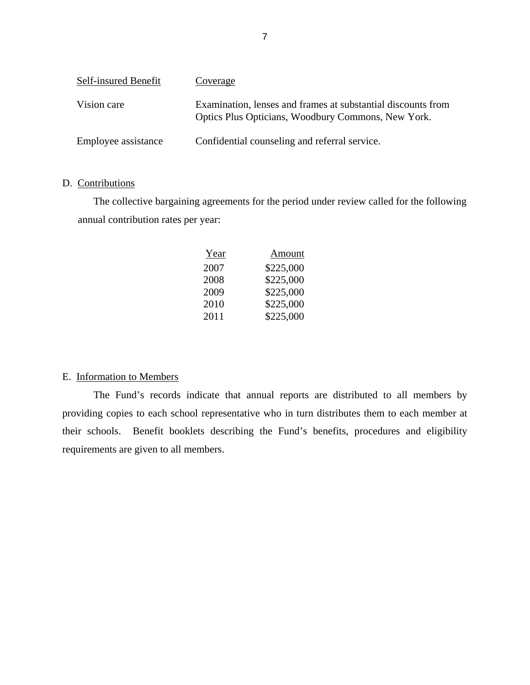<span id="page-9-0"></span>

| Self-insured Benefit | Coverage                                                                                                           |
|----------------------|--------------------------------------------------------------------------------------------------------------------|
| Vision care          | Examination, lenses and frames at substantial discounts from<br>Optics Plus Opticians, Woodbury Commons, New York. |
| Employee assistance  | Confidential counseling and referral service.                                                                      |

## D. Contributions

The collective bargaining agreements for the period under review called for the following annual contribution rates per year:

| Year | Amount    |
|------|-----------|
| 2007 | \$225,000 |
| 2008 | \$225,000 |
| 2009 | \$225,000 |
| 2010 | \$225,000 |
| 2011 | \$225,000 |

## E. Information to Members

The Fund's records indicate that annual reports are distributed to all members by providing copies to each school representative who in turn distributes them to each member at their schools. Benefit booklets describing the Fund's benefits, procedures and eligibility requirements are given to all members.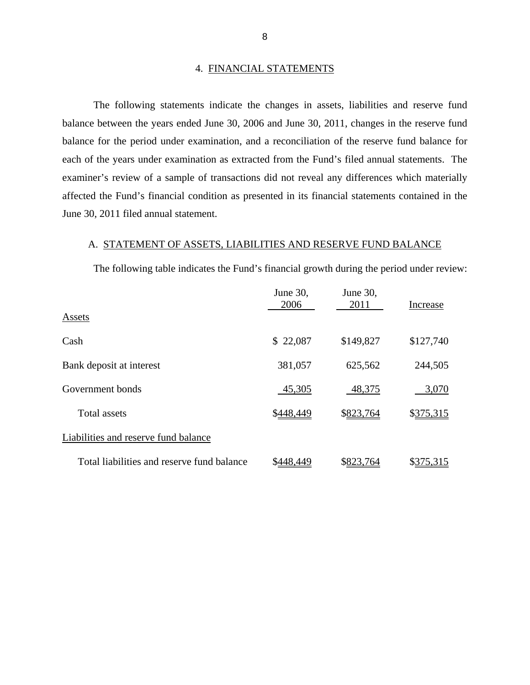#### 4. FINANCIAL STATEMENTS

The following statements indicate the changes in assets, liabilities and reserve fund balance between the years ended June 30, 2006 and June 30, 2011, changes in the reserve fund balance for the period under examination, and a reconciliation of the reserve fund balance for each of the years under examination as extracted from the Fund's filed annual statements. The examiner's review of a sample of transactions did not reveal any differences which materially affected the Fund's financial condition as presented in its financial statements contained in the June 30, 2011 filed annual statement.

#### A. STATEMENT OF ASSETS, LIABILITIES AND RESERVE FUND BALANCE

The following table indicates the Fund's financial growth during the period under review:

|                                            | June 30,<br>2006 | June 30,<br>2011 | Increase  |
|--------------------------------------------|------------------|------------------|-----------|
| Assets                                     |                  |                  |           |
| Cash                                       | \$22,087         | \$149,827        | \$127,740 |
| Bank deposit at interest                   | 381,057          | 625,562          | 244,505   |
| Government bonds                           | 45,305           | 48,375           | 3,070     |
| <b>Total assets</b>                        | \$448,449        | \$823,764        | \$375,315 |
| Liabilities and reserve fund balance       |                  |                  |           |
| Total liabilities and reserve fund balance |                  | \$823.<br>'64    | \$375,315 |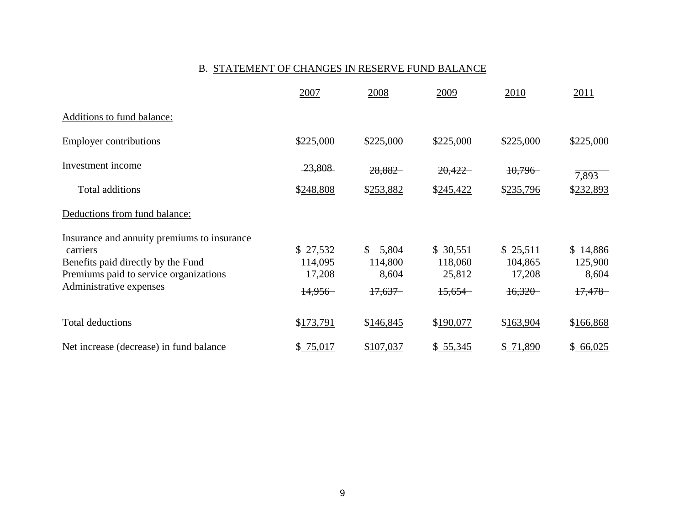#### B. STATEMENT OF CHANGES IN RESERVE FUND BALANCE

|                                                         | 2007      | 2008                   | 2009      | 2010      | 2011      |
|---------------------------------------------------------|-----------|------------------------|-----------|-----------|-----------|
| Additions to fund balance:                              |           |                        |           |           |           |
| <b>Employer contributions</b>                           | \$225,000 | \$225,000              | \$225,000 | \$225,000 | \$225,000 |
| Investment income                                       | 23,808    | 28,882                 | 20,422    | 10,796    | 7,893     |
| Total additions                                         | \$248,808 | \$253,882              | \$245,422 | \$235,796 | \$232,893 |
| Deductions from fund balance:                           |           |                        |           |           |           |
| Insurance and annuity premiums to insurance<br>carriers | \$27,532  | <sup>\$</sup><br>5,804 | \$30,551  | \$25,511  | \$14,886  |
| Benefits paid directly by the Fund                      | 114,095   | 114,800                | 118,060   | 104,865   | 125,900   |
| Premiums paid to service organizations                  | 17,208    | 8,604                  | 25,812    | 17,208    | 8,604     |
| Administrative expenses                                 | 14,956    | 17,637                 | 15,654    | 16,320    | 17,478    |
| <b>Total deductions</b>                                 | \$173,791 | \$146,845              | \$190,077 | \$163,904 | \$166,868 |
| Net increase (decrease) in fund balance                 | \$75,017  | \$107,037              | \$.55,345 | \$ 71,890 | \$66,025  |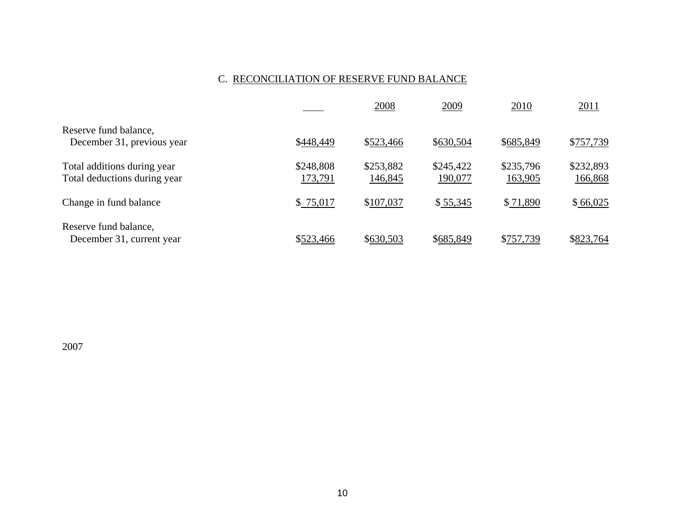## C. RECONCILIATION OF RESERVE FUND BALANCE

|                              |           | 2008      | 2009      | 2010      | 2011      |
|------------------------------|-----------|-----------|-----------|-----------|-----------|
| Reserve fund balance,        |           |           |           |           |           |
| December 31, previous year   | \$448,449 | \$523,466 | \$630,504 | \$685,849 | \$757,739 |
| Total additions during year  | \$248,808 | \$253,882 | \$245,422 | \$235,796 | \$232,893 |
| Total deductions during year | 173,791   | 146,845   | 190,077   | 163,905   | 166,868   |
| Change in fund balance       | \$75,017  | \$107,037 | \$55,345  | \$71,890  | \$66,025  |
| Reserve fund balance,        |           |           |           |           |           |
| December 31, current year    | \$523,466 | \$630,503 | \$685,849 | \$757,739 | \$823,764 |

2007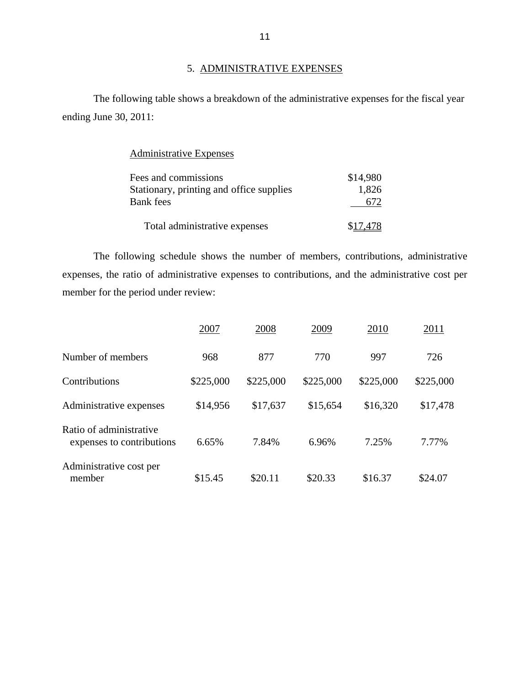# 5. ADMINISTRATIVE EXPENSES

The following table shows a breakdown of the administrative expenses for the fiscal year ending June 30, 2011:

# Administrative Expenses

| Fees and commissions                     | \$14,980 |
|------------------------------------------|----------|
| Stationary, printing and office supplies | 1,826    |
| Bank fees                                | 672      |
| Total administrative expenses            | \$17,478 |

The following schedule shows the number of members, contributions, administrative expenses, the ratio of administrative expenses to contributions, and the administrative cost per member for the period under review:

|                                                      | 2007      | 2008      | 2009      | 2010      | 2011      |
|------------------------------------------------------|-----------|-----------|-----------|-----------|-----------|
| Number of members                                    | 968       | 877       | 770       | 997       | 726       |
| Contributions                                        | \$225,000 | \$225,000 | \$225,000 | \$225,000 | \$225,000 |
| Administrative expenses                              | \$14,956  | \$17,637  | \$15,654  | \$16,320  | \$17,478  |
| Ratio of administrative<br>expenses to contributions | 6.65%     | 7.84%     | 6.96%     | 7.25%     | 7.77%     |
| Administrative cost per<br>member                    | \$15.45   | \$20.11   | \$20.33   | \$16.37   | \$24.07   |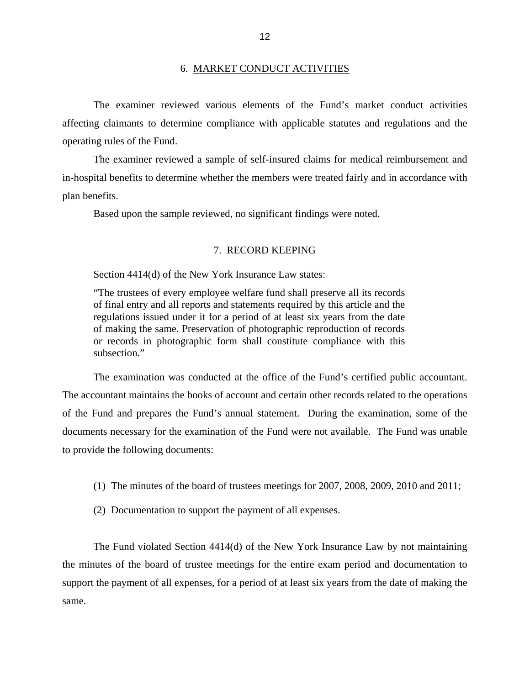#### 6. MARKET CONDUCT ACTIVITIES

<span id="page-14-0"></span>The examiner reviewed various elements of the Fund's market conduct activities affecting claimants to determine compliance with applicable statutes and regulations and the operating rules of the Fund.

The examiner reviewed a sample of self-insured claims for medical reimbursement and in-hospital benefits to determine whether the members were treated fairly and in accordance with plan benefits.

Based upon the sample reviewed, no significant findings were noted.

#### 7. RECORD KEEPING

Section 4414(d) of the New York Insurance Law states:

"The trustees of every employee welfare fund shall preserve all its records of final entry and all reports and statements required by this article and the regulations issued under it for a period of at least six years from the date of making the same. Preservation of photographic reproduction of records or records in photographic form shall constitute compliance with this subsection."

The examination was conducted at the office of the Fund's certified public accountant. The accountant maintains the books of account and certain other records related to the operations of the Fund and prepares the Fund's annual statement. During the examination, some of the documents necessary for the examination of the Fund were not available. The Fund was unable to provide the following documents:

- (1) The minutes of the board of trustees meetings for 2007, 2008, 2009, 2010 and 2011;
- (2) Documentation to support the payment of all expenses.

The Fund violated Section 4414(d) of the New York Insurance Law by not maintaining the minutes of the board of trustee meetings for the entire exam period and documentation to support the payment of all expenses, for a period of at least six years from the date of making the same.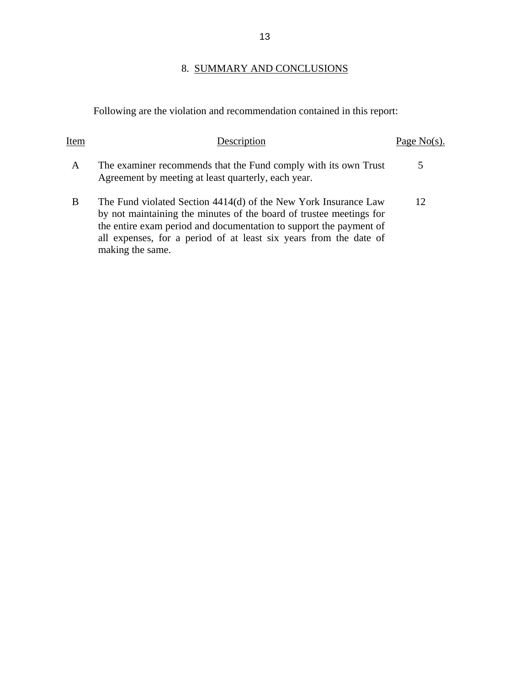# 8. SUMMARY AND CONCLUSIONS

<span id="page-15-0"></span>Following are the violation and recommendation contained in this report:

| Item | Description                                                                                                                                                                                                                                                                                           | Page $No(s)$ . |
|------|-------------------------------------------------------------------------------------------------------------------------------------------------------------------------------------------------------------------------------------------------------------------------------------------------------|----------------|
| A    | The examiner recommends that the Fund comply with its own Trust<br>Agreement by meeting at least quarterly, each year.                                                                                                                                                                                | 5              |
| B    | The Fund violated Section 4414(d) of the New York Insurance Law<br>by not maintaining the minutes of the board of trustee meetings for<br>the entire exam period and documentation to support the payment of<br>all expenses, for a period of at least six years from the date of<br>making the same. | 12             |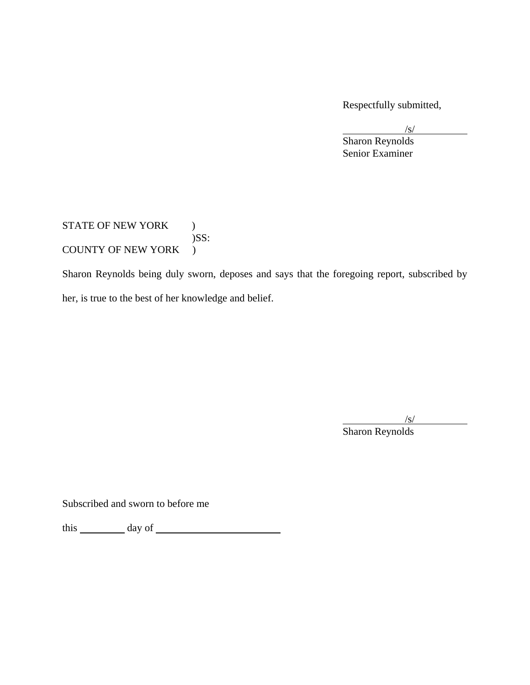Respectfully submitted,

 $\sqrt{s}$ /s/

 Sharon Reynolds Senior Examiner

STATE OF NEW YORK ) )SS: COUNTY OF NEW YORK )

Sharon Reynolds being duly sworn, deposes and says that the foregoing report, subscribed by her, is true to the best of her knowledge and belief.

 $/s/$ /s/

Sharon Reynolds<br>Subscribed and sworn to before me

 $\frac{1}{\text{this}}$  day of